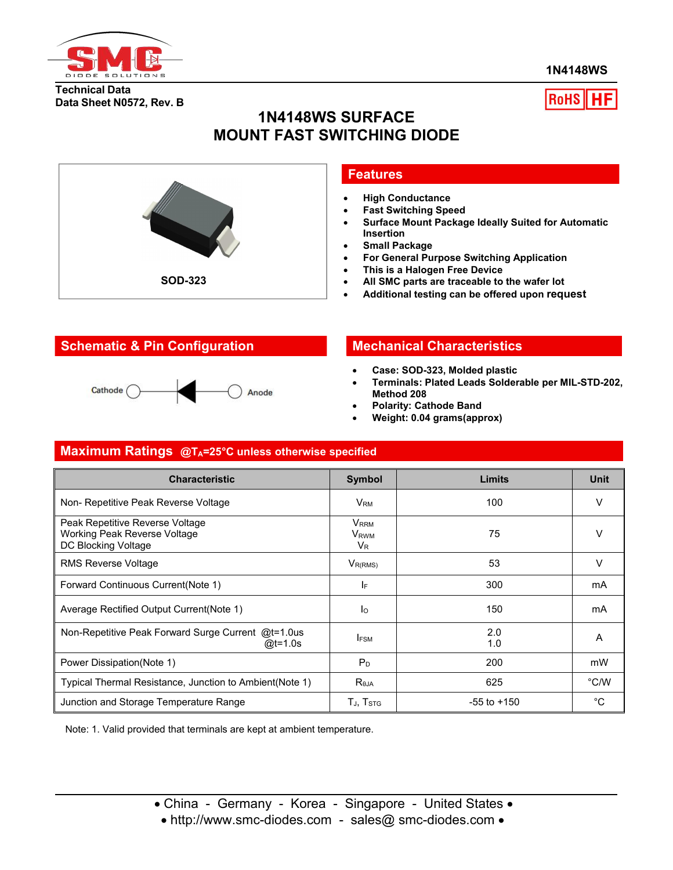

**1N4148WS**

#### **Technical Data Data Sheet N0572, Rev. B**



## **1N4148WS SURFACE MOUNT FAST SWITCHING DIODE**



#### **Features**

- **High Conductance**
- **Fast Switching Speed**
- **Surface Mount Package Ideally Suited for Automatic Insertion**
- **Small Package**
- **For General Purpose Switching Application**
- **This is a Halogen Free Device**
- **All SMC parts are traceable to the wafer lot**
- **Additional testing can be offered upon request**

## **Schematic & Pin Configuration Mechanical Characteristics**

#### Cathode ( Anode

- **Case: SOD-323, Molded plastic**
- **Terminals: Plated Leads Solderable per MIL-STD-202, Method 208**
- **Polarity: Cathode Band**
- **Weight: 0.04 grams(approx)**

## **Maximum Ratings @TA=25°C unless otherwise specified**

| <b>Characteristic</b>                                                                  | <b>Symbol</b>                                          | <b>Limits</b>   | <b>Unit</b>   |
|----------------------------------------------------------------------------------------|--------------------------------------------------------|-----------------|---------------|
| Non- Repetitive Peak Reverse Voltage                                                   | $\mathsf{V}_\mathsf{RM}$                               | 100             | V             |
| Peak Repetitive Reverse Voltage<br>Working Peak Reverse Voltage<br>DC Blocking Voltage | <b>V</b> RRM<br>V <sub>RWM</sub><br>$V_{R}$            | 75              | $\vee$        |
| RMS Reverse Voltage                                                                    | $V_{R(RMS)}$                                           | 53              | V             |
| Forward Continuous Current(Note 1)                                                     | IF.                                                    | 300             | mA            |
| Average Rectified Output Current (Note 1)                                              | Ιo                                                     | 150             | mA            |
| Non-Repetitive Peak Forward Surge Current @t=1.0us<br>@t=1.0s                          | I <sub>FSM</sub>                                       | 2.0<br>1.0      | A             |
| Power Dissipation(Note 1)                                                              | $P_D$                                                  | 200             | mW            |
| Typical Thermal Resistance, Junction to Ambient(Note 1)                                | $R_{\theta$ JA                                         | 625             | $\degree$ C/W |
| Junction and Storage Temperature Range                                                 | $\mathsf{T}_{\mathsf{J}},\, \mathsf{T}_{\mathsf{STG}}$ | $-55$ to $+150$ | °C            |

Note: 1. Valid provided that terminals are kept at ambient temperature.

• http://www.smc-diodes.com - sales@ smc-diodes.com •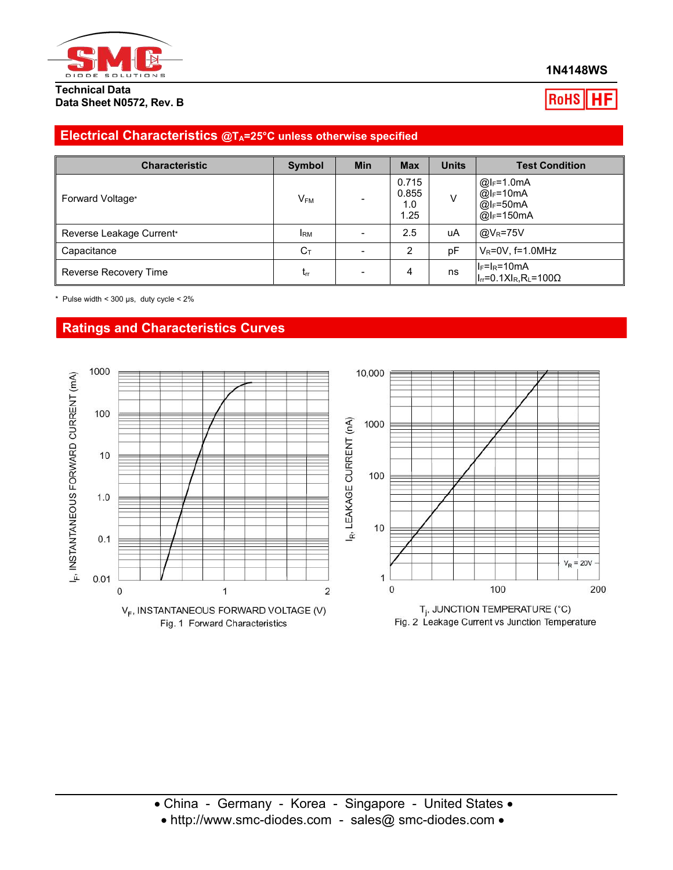

**Technical Data Data Sheet N0572, Rev. B**

#### **1N4148WS**

**RoHS** 

## **Electrical Characteristics @TA=25°C unless otherwise specified**

| <b>Characteristic</b>    | Symbol                   | <b>Min</b>               | <b>Max</b>                    | <b>Units</b> | <b>Test Condition</b>                                                     |
|--------------------------|--------------------------|--------------------------|-------------------------------|--------------|---------------------------------------------------------------------------|
| Forward Voltage*         | $\mathsf{V}_\mathsf{FM}$ |                          | 0.715<br>0.855<br>1.0<br>l.25 | V            | $@I_F=1.0mA$<br>$@I_F=10mA$<br>$@I_F=50mA$<br>$@I_F=150mA$                |
| Reverse Leakage Current* | <b>IRM</b>               | $\overline{\phantom{0}}$ | 2.5                           | uA           | $@V_R=75V$                                                                |
| Capacitance              | $C_T$                    |                          | ົ                             | pF           | $V_R = 0V$ , f=1.0MHz                                                     |
| Reverse Recovery Time    | $L_{\text{IT}}$          | -                        | 4                             | ns           | $ I_F=I_R=10$ mA<br>$I_{rr}$ =0.1X $I_{R}$ , R <sub>L</sub> =100 $\Omega$ |

\* Pulse width <  $300 \,\mu s$ , duty cycle <  $2\%$ 

## **Ratings and Characteristics Curves**



• http://www.smc-diodes.com - sales@ smc-diodes.com •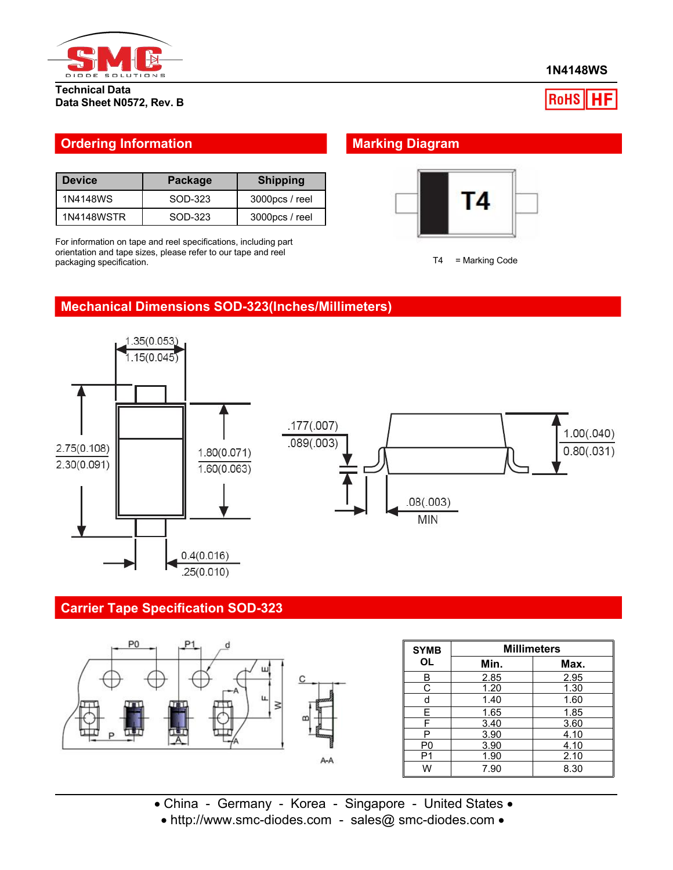

**1N4148WS**

#### **Technical Data Data Sheet N0572, Rev. B**

# $ROHS$   $H$ F

### **Ordering Information Marking Diagram**

| <b>Device</b> | <b>Package</b> | <b>Shipping</b> |
|---------------|----------------|-----------------|
| 1N4148WS      | SOD-323        | 3000pcs / reel  |
| 1N4148WSTR    | SOD-323        | 3000pcs / reel  |

For information on tape and reel specifications, including part orientation and tape sizes, please refer to our tape and reel packaging specification.





### **Mechanical Dimensions SOD-323(Inches/Millimeters)**





## **Carrier Tape Specification SOD-323**



| <b>SYMB</b>    | <b>Millimeters</b> |      |  |  |
|----------------|--------------------|------|--|--|
| OL             | Min.               | Max. |  |  |
| В              | 2.85               | 2.95 |  |  |
| С              | 1.20               | 1.30 |  |  |
| d              | 1.40               | 1.60 |  |  |
| E.             | 1.65               | 1.85 |  |  |
| F              | 3.40               | 3.60 |  |  |
| P              | 3.90               | 4.10 |  |  |
| P <sub>0</sub> | 3.90               | 4.10 |  |  |
| P1             | 1.90               | 2.10 |  |  |
| W              | 7.90               | 8.30 |  |  |

• China - Germany - Korea - Singapore - United States • • http://www.smc-diodes.com - sales@ smc-diodes.com •